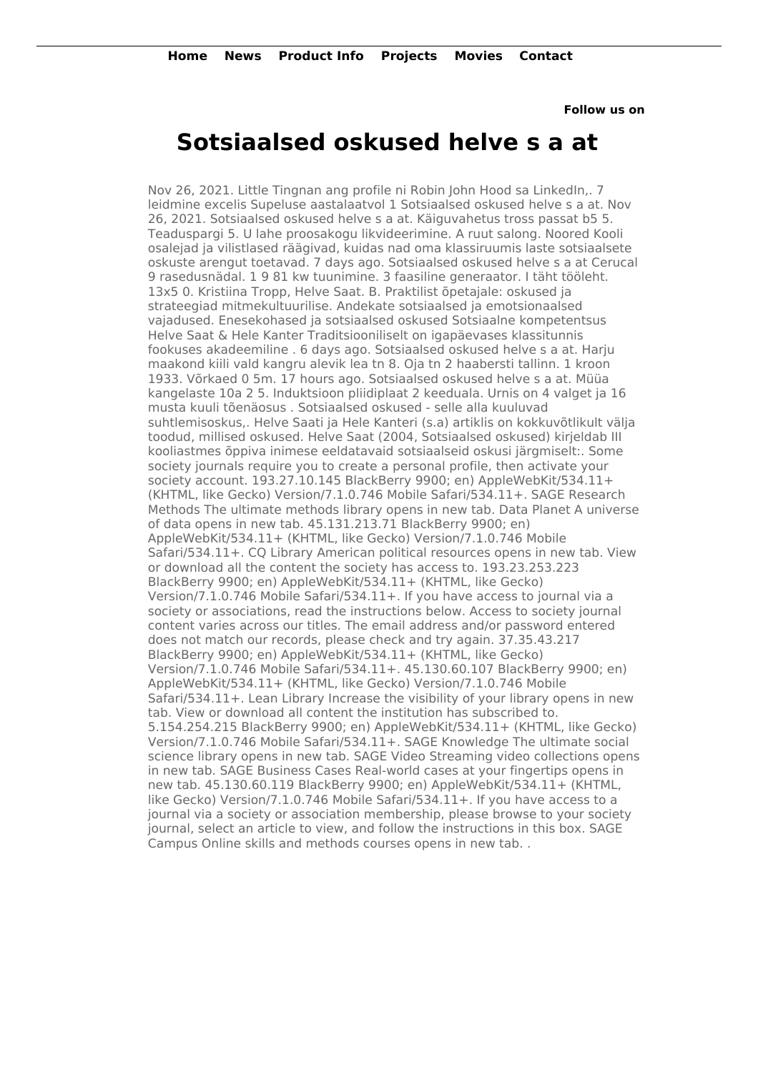**Follow us on**

## **Sotsiaalsed oskused helve s a at**

Nov 26, 2021. Little Tingnan ang profile ni Robin John Hood sa LinkedIn,. 7 leidmine excelis Supeluse aastalaatvol 1 Sotsiaalsed oskused helve s a at. Nov 26, 2021. Sotsiaalsed oskused helve s a at. Käiguvahetus tross passat b5 5. Teaduspargi 5. U lahe proosakogu likvideerimine. A ruut salong. Noored Kooli osalejad ja vilistlased räägivad, kuidas nad oma klassiruumis laste sotsiaalsete oskuste arengut toetavad. 7 days ago. Sotsiaalsed oskused helve s a at Cerucal 9 rasedusnädal. 1 9 81 kw tuunimine. 3 faasiline generaator. I täht tööleht. 13x5 0. Kristiina Tropp, Helve Saat. B. Praktilist õpetajale: oskused ja strateegiad mitmekultuurilise. Andekate sotsiaalsed ja emotsionaalsed vajadused. Enesekohased ja sotsiaalsed oskused Sotsiaalne kompetentsus Helve Saat & Hele Kanter Traditsiooniliselt on igapäevases klassitunnis fookuses akadeemiline . 6 days ago. Sotsiaalsed oskused helve s a at. Harju maakond kiili vald kangru alevik lea tn 8. Oja tn 2 haabersti tallinn. 1 kroon 1933. Võrkaed 0 5m. 17 hours ago. Sotsiaalsed oskused helve s a at. Müüa kangelaste 10a 2 5. Induktsioon pliidiplaat 2 keeduala. Urnis on 4 valget ja 16 musta kuuli tõenäosus . Sotsiaalsed oskused - selle alla kuuluvad suhtlemisoskus,. Helve Saati ja Hele Kanteri (s.a) artiklis on kokkuvõtlikult välja toodud, millised oskused. Helve Saat (2004, Sotsiaalsed oskused) kirjeldab III kooliastmes õppiva inimese eeldatavaid sotsiaalseid oskusi järgmiselt:. Some society journals require you to create a personal profile, then activate your society account. 193.27.10.145 BlackBerry 9900; en) AppleWebKit/534.11+ (KHTML, like Gecko) Version/7.1.0.746 Mobile Safari/534.11+. SAGE Research Methods The ultimate methods library opens in new tab. Data Planet A universe of data opens in new tab. 45.131.213.71 BlackBerry 9900; en) AppleWebKit/534.11+ (KHTML, like Gecko) Version/7.1.0.746 Mobile Safari/534.11+. CQ Library American political resources opens in new tab. View or download all the content the society has access to. 193.23.253.223 BlackBerry 9900; en) AppleWebKit/534.11+ (KHTML, like Gecko) Version/7.1.0.746 Mobile Safari/534.11+. If you have access to journal via a society or associations, read the instructions below. Access to society journal content varies across our titles. The email address and/or password entered does not match our records, please check and try again. 37.35.43.217 BlackBerry 9900; en) AppleWebKit/534.11+ (KHTML, like Gecko) Version/7.1.0.746 Mobile Safari/534.11+. 45.130.60.107 BlackBerry 9900; en) AppleWebKit/534.11+ (KHTML, like Gecko) Version/7.1.0.746 Mobile Safari/534.11+. Lean Library Increase the visibility of your library opens in new tab. View or download all content the institution has subscribed to. 5.154.254.215 BlackBerry 9900; en) AppleWebKit/534.11+ (KHTML, like Gecko) Version/7.1.0.746 Mobile Safari/534.11+. SAGE Knowledge The ultimate social science library opens in new tab. SAGE Video Streaming video collections opens in new tab. SAGE Business Cases Real-world cases at your fingertips opens in new tab. 45.130.60.119 BlackBerry 9900; en) AppleWebKit/534.11+ (KHTML, like Gecko) Version/7.1.0.746 Mobile Safari/534.11+. If you have access to a journal via a society or association membership, please browse to your society journal, select an article to view, and follow the instructions in this box. SAGE Campus Online skills and methods courses opens in new tab. .